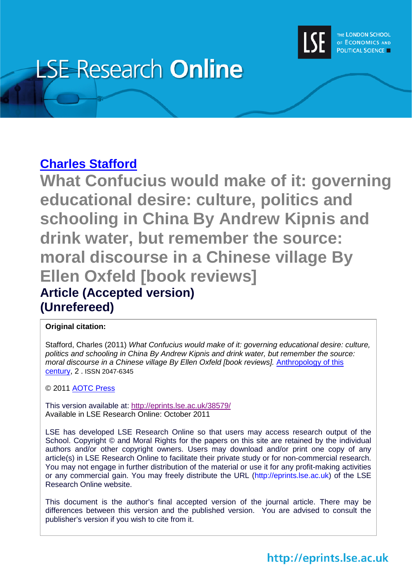

# **LSE Research Online**

#### **[Charles Stafford](http://www2.lse.ac.uk/researchAndExpertise/Experts/profile.aspx?KeyValue=c.stafford@lse.ac.uk)**

**What Confucius would make of it: governing educational desire: culture, politics and schooling in China By Andrew Kipnis and drink water, but remember the source: moral discourse in a Chinese village By Ellen Oxfeld [book reviews] Article (Accepted version) (Unrefereed)**

#### **Original citation:**

Stafford, Charles (2011) *What Confucius would make of it: governing educational desire: culture, politics and schooling in China By Andrew Kipnis and drink water, but remember the source: moral discourse in a Chinese village By Ellen Oxfeld [book reviews].* [Anthropology of this](http://aotcpress.com/articles/love/)  [century,](http://aotcpress.com/articles/love/) 2 . ISSN 2047-6345

© 2011 [AOTC Press](http://aotcpress.com/articles/love/)

This version available at:<http://eprints.lse.ac.uk/38579/> Available in LSE Research Online: October 2011

LSE has developed LSE Research Online so that users may access research output of the School. Copyright © and Moral Rights for the papers on this site are retained by the individual authors and/or other copyright owners. Users may download and/or print one copy of any article(s) in LSE Research Online to facilitate their private study or for non-commercial research. You may not engage in further distribution of the material or use it for any profit-making activities or any commercial gain. You may freely distribute the URL (http://eprints.lse.ac.uk) of the LSE Research Online website.

This document is the author's final accepted version of the journal article. There may be differences between this version and the published version. You are advised to consult the publisher's version if you wish to cite from it.

### http://eprints.lse.ac.uk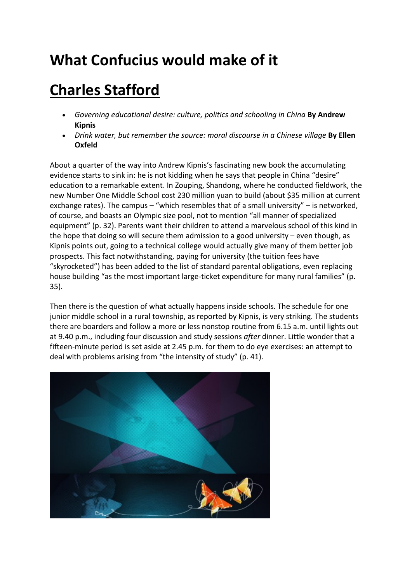## **What Confucius would make of it**

# **[Charles Stafford](http://aotcpress.com/author/charles-stafford/)**

- *Governing educational desire: culture, politics and schooling in China* **By Andrew Kipnis**
- *Drink water, but remember the source: moral discourse in a Chinese village* **By Ellen Oxfeld**

About a quarter of the way into Andrew Kipnis's fascinating new book the accumulating evidence starts to sink in: he is not kidding when he says that people in China "desire" education to a remarkable extent. In Zouping, Shandong, where he conducted fieldwork, the new Number One Middle School cost 230 million yuan to build (about \$35 million at current exchange rates). The campus – "which resembles that of a small university" – is networked, of course, and boasts an Olympic size pool, not to mention "all manner of specialized equipment" (p. 32). Parents want their children to attend a marvelous school of this kind in the hope that doing so will secure them admission to a good university  $-$  even though, as Kipnis points out, going to a technical college would actually give many of them better job prospects. This fact notwithstanding, paying for university (the tuition fees have "skyrocketed") has been added to the list of standard parental obligations, even replacing house building "as the most important large-ticket expenditure for many rural families" (p. 35).

Then there is the question of what actually happens inside schools. The schedule for one junior middle school in a rural township, as reported by Kipnis, is very striking. The students there are boarders and follow a more or less nonstop routine from 6.15 a.m. until lights out at 9.40 p.m., including four discussion and study sessions *after* dinner. Little wonder that a fifteen-minute period is set aside at 2.45 p.m. for them to do eye exercises: an attempt to deal with problems arising from "the intensity of study" (p. 41).

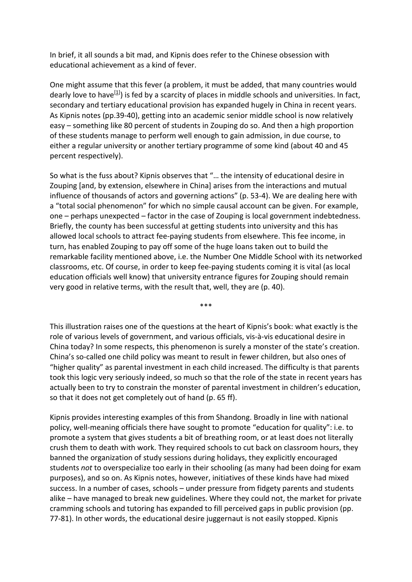In brief, it all sounds a bit mad, and Kipnis does refer to the Chinese obsession with educational achievement as a kind of fever.

One might assume that this fever (a problem, it must be added, that many countries would dearly love to have<sup>[1]</sup>) is fed by a scarcity of places in middle schools and universities. In fact, secondary and tertiary educational provision has expanded hugely in China in recent years. As Kipnis notes (pp.39-40), getting into an academic senior middle school is now relatively easy – something like 80 percent of students in Zouping do so. And then a high proportion of these students manage to perform well enough to gain admission, in due course, to either a regular university or another tertiary programme of some kind (about 40 and 45 percent respectively).

So what is the fuss about? Kipnis observes that "… the intensity of educational desire in Zouping [and, by extension, elsewhere in China] arises from the interactions and mutual influence of thousands of actors and governing actions" (p. 53-4). We are dealing here with a "total social phenomenon" for which no simple causal account can be given. For example, one – perhaps unexpected – factor in the case of Zouping is local government indebtedness. Briefly, the county has been successful at getting students into university and this has allowed local schools to attract fee-paying students from elsewhere. This fee income, in turn, has enabled Zouping to pay off some of the huge loans taken out to build the remarkable facility mentioned above, i.e. the Number One Middle School with its networked classrooms, etc. Of course, in order to keep fee-paying students coming it is vital (as local education officials well know) that university entrance figures for Zouping should remain very good in relative terms, with the result that, well, they are (p. 40).

This illustration raises one of the questions at the heart of Kipnis's book: what exactly is the role of various levels of government, and various officials, vis-à-vis educational desire in China today? In some respects, this phenomenon is surely a monster of the state's creation. China's so-called one child policy was meant to result in fewer children, but also ones of "higher quality" as parental investment in each child increased. The difficulty is that parents took this logic very seriously indeed, so much so that the role of the state in recent years has actually been to try to constrain the monster of parental investment in children's education, so that it does not get completely out of hand (p. 65 ff).

\*\*\*

Kipnis provides interesting examples of this from Shandong. Broadly in line with national policy, well-meaning officials there have sought to promote "education for quality": i.e. to promote a system that gives students a bit of breathing room, or at least does not literally crush them to death with work. They required schools to cut back on classroom hours, they banned the organization of study sessions during holidays, they explicitly encouraged students *not* to overspecialize too early in their schooling (as many had been doing for exam purposes), and so on. As Kipnis notes, however, initiatives of these kinds have had mixed success. In a number of cases, schools – under pressure from fidgety parents and students alike – have managed to break new guidelines. Where they could not, the market for private cramming schools and tutoring has expanded to fill perceived gaps in public provision (pp. 77-81). In other words, the educational desire juggernaut is not easily stopped. Kipnis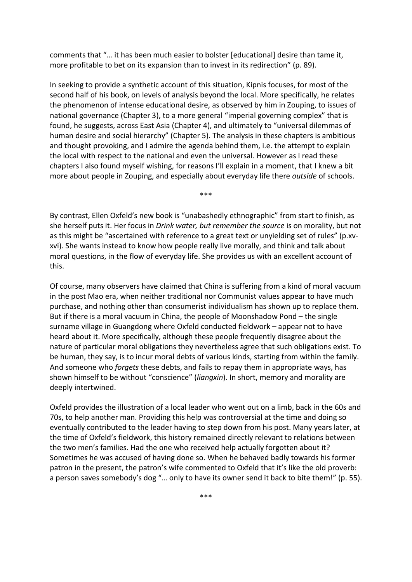comments that "… it has been much easier to bolster [educational] desire than tame it, more profitable to bet on its expansion than to invest in its redirection" (p. 89).

In seeking to provide a synthetic account of this situation, Kipnis focuses, for most of the second half of his book, on levels of analysis beyond the local. More specifically, he relates the phenomenon of intense educational desire, as observed by him in Zouping, to issues of national governance (Chapter 3), to a more general "imperial governing complex" that is found, he suggests, across East Asia (Chapter 4), and ultimately to "universal dilemmas of human desire and social hierarchy" (Chapter 5). The analysis in these chapters is ambitious and thought provoking, and I admire the agenda behind them, i.e. the attempt to explain the local with respect to the national and even the universal. However as I read these chapters I also found myself wishing, for reasons I'll explain in a moment, that I knew a bit more about people in Zouping, and especially about everyday life there *outside* of schools.

By contrast, Ellen Oxfeld's new book is "unabashedly ethnographic" from start to finish, as she herself puts it. Her focus in *Drink water, but remember the source* is on morality, but not as this might be "ascertained with reference to a great text or unyielding set of rules" (p.xvxvi). She wants instead to know how people really live morally, and think and talk about moral questions, in the flow of everyday life. She provides us with an excellent account of this.

\*\*\*

Of course, many observers have claimed that China is suffering from a kind of moral vacuum in the post Mao era, when neither traditional nor Communist values appear to have much purchase, and nothing other than consumerist individualism has shown up to replace them. But if there is a moral vacuum in China, the people of Moonshadow Pond – the single surname village in Guangdong where Oxfeld conducted fieldwork – appear not to have heard about it. More specifically, although these people frequently disagree about the nature of particular moral obligations they nevertheless agree that such obligations exist. To be human, they say, is to incur moral debts of various kinds, starting from within the family. And someone who *forgets* these debts, and fails to repay them in appropriate ways, has shown himself to be without "conscience" (*liangxin*). In short, memory and morality are deeply intertwined.

Oxfeld provides the illustration of a local leader who went out on a limb, back in the 60s and 70s, to help another man. Providing this help was controversial at the time and doing so eventually contributed to the leader having to step down from his post. Many years later, at the time of Oxfeld's fieldwork, this history remained directly relevant to relations between the two men's families. Had the one who received help actually forgotten about it? Sometimes he was accused of having done so. When he behaved badly towards his former patron in the present, the patron's wife commented to Oxfeld that it's like the old proverb: a person saves somebody's dog "… only to have its owner send it back to bite them!" (p. 55).

\*\*\*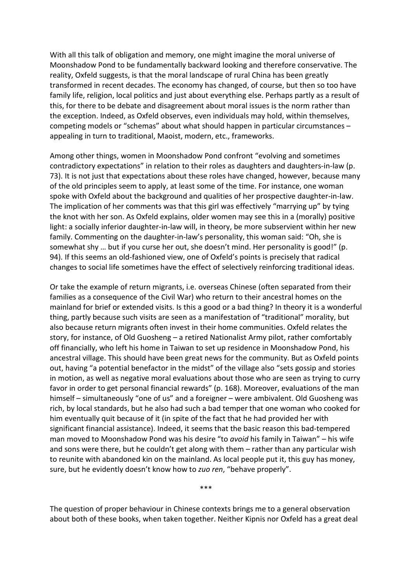With all this talk of obligation and memory, one might imagine the moral universe of Moonshadow Pond to be fundamentally backward looking and therefore conservative. The reality, Oxfeld suggests, is that the moral landscape of rural China has been greatly transformed in recent decades. The economy has changed, of course, but then so too have family life, religion, local politics and just about everything else. Perhaps partly as a result of this, for there to be debate and disagreement about moral issues is the norm rather than the exception. Indeed, as Oxfeld observes, even individuals may hold, within themselves, competing models or "schemas" about what should happen in particular circumstances – appealing in turn to traditional, Maoist, modern, etc., frameworks.

Among other things, women in Moonshadow Pond confront "evolving and sometimes contradictory expectations" in relation to their roles as daughters and daughters-in-law (p. 73). It is not just that expectations about these roles have changed, however, because many of the old principles seem to apply, at least some of the time. For instance, one woman spoke with Oxfeld about the background and qualities of her prospective daughter-in-law. The implication of her comments was that this girl was effectively "marrying up" by tying the knot with her son. As Oxfeld explains, older women may see this in a (morally) positive light: a socially inferior daughter-in-law will, in theory, be more subservient within her new family. Commenting on the daughter-in-law's personality, this woman said: "Oh, she is somewhat shy … but if you curse her out, she doesn't mind. Her personality is good!" (p. 94). If this seems an old-fashioned view, one of Oxfeld's points is precisely that radical changes to social life sometimes have the effect of selectively reinforcing traditional ideas.

Or take the example of return migrants, i.e. overseas Chinese (often separated from their families as a consequence of the Civil War) who return to their ancestral homes on the mainland for brief or extended visits. Is this a good or a bad thing? In theory it is a wonderful thing, partly because such visits are seen as a manifestation of "traditional" morality, but also because return migrants often invest in their home communities. Oxfeld relates the story, for instance, of Old Guosheng – a retired Nationalist Army pilot, rather comfortably off financially, who left his home in Taiwan to set up residence in Moonshadow Pond, his ancestral village. This should have been great news for the community. But as Oxfeld points out, having "a potential benefactor in the midst" of the village also "sets gossip and stories in motion, as well as negative moral evaluations about those who are seen as trying to curry favor in order to get personal financial rewards" (p. 168). Moreover, evaluations of the man himself – simultaneously "one of us" and a foreigner – were ambivalent. Old Guosheng was rich, by local standards, but he also had such a bad temper that one woman who cooked for him eventually quit because of it (in spite of the fact that he had provided her with significant financial assistance). Indeed, it seems that the basic reason this bad-tempered man moved to Moonshadow Pond was his desire "to *avoid* his family in Taiwan" – his wife and sons were there, but he couldn't get along with them – rather than any particular wish to reunite with abandoned kin on the mainland. As local people put it, this guy has money, sure, but he evidently doesn't know how to *zuo ren*, "behave properly".

\*\*\*

The question of proper behaviour in Chinese contexts brings me to a general observation about both of these books, when taken together. Neither Kipnis nor Oxfeld has a great deal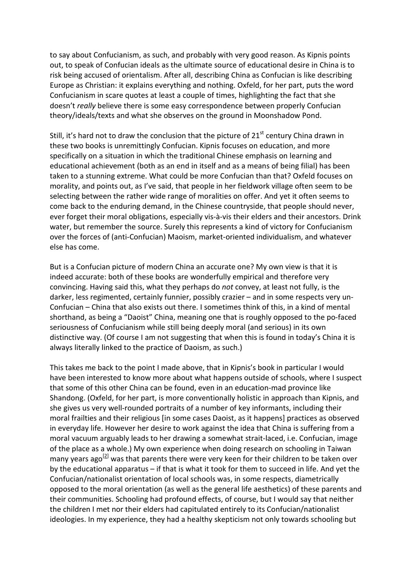to say about Confucianism, as such, and probably with very good reason. As Kipnis points out, to speak of Confucian ideals as the ultimate source of educational desire in China is to risk being accused of orientalism. After all, describing China as Confucian is like describing Europe as Christian: it explains everything and nothing. Oxfeld, for her part, puts the word Confucianism in scare quotes at least a couple of times, highlighting the fact that she doesn't *really* believe there is some easy correspondence between properly Confucian theory/ideals/texts and what she observes on the ground in Moonshadow Pond.

Still, it's hard not to draw the conclusion that the picture of  $21<sup>st</sup>$  century China drawn in these two books is unremittingly Confucian. Kipnis focuses on education, and more specifically on a situation in which the traditional Chinese emphasis on learning and educational achievement (both as an end in itself and as a means of being filial) has been taken to a stunning extreme. What could be more Confucian than that? Oxfeld focuses on morality, and points out, as I've said, that people in her fieldwork village often seem to be selecting between the rather wide range of moralities on offer. And yet it often seems to come back to the enduring demand, in the Chinese countryside, that people should never, ever forget their moral obligations, especially vis-à-vis their elders and their ancestors. Drink water, but remember the source. Surely this represents a kind of victory for Confucianism over the forces of (anti-Confucian) Maoism, market-oriented individualism, and whatever else has come.

But is a Confucian picture of modern China an accurate one? My own view is that it is indeed accurate: both of these books are wonderfully empirical and therefore very convincing. Having said this, what they perhaps do *not* convey, at least not fully, is the darker, less regimented, certainly funnier, possibly crazier – and in some respects very un-Confucian – China that also exists out there. I sometimes think of this, in a kind of mental shorthand, as being a "Daoist" China, meaning one that is roughly opposed to the po-faced seriousness of Confucianism while still being deeply moral (and serious) in its own distinctive way. (Of course I am not suggesting that when this is found in today's China it is always literally linked to the practice of Daoism, as such.)

This takes me back to the point I made above, that in Kipnis's book in particular I would have been interested to know more about what happens outside of schools, where I suspect that some of this other China can be found, even in an education-mad province like Shandong. (Oxfeld, for her part, is more conventionally holistic in approach than Kipnis, and she gives us very well-rounded portraits of a number of key informants, including their moral frailties and their religious [in some cases Daoist, as it happens] practices as observed in everyday life. However her desire to work against the idea that China is suffering from a moral vacuum arguably leads to her drawing a somewhat strait-laced, i.e. Confucian, image of the place as a whole.) My own experience when doing research on schooling in Taiwan many years ago<sup>[2]</sup> was that parents there were very keen for their children to be taken over by the educational apparatus – if that is what it took for them to succeed in life. And yet the Confucian/nationalist orientation of local schools was, in some respects, diametrically opposed to the moral orientation (as well as the general life aesthetics) of these parents and their communities. Schooling had profound effects, of course, but I would say that neither the children I met nor their elders had capitulated entirely to its Confucian/nationalist ideologies. In my experience, they had a healthy skepticism not only towards schooling but